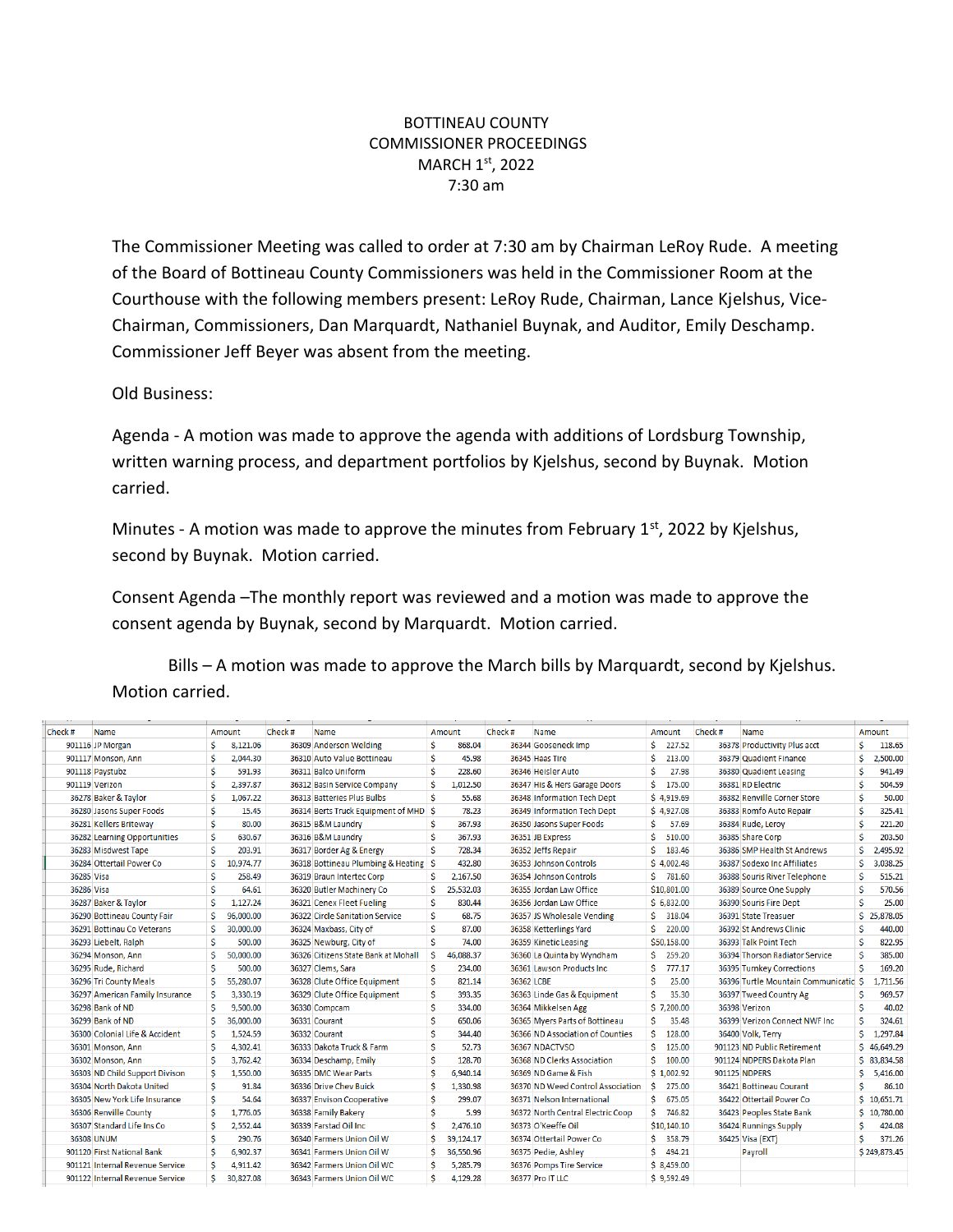## BOTTINEAU COUNTY COMMISSIONER PROCEEDINGS MARCH 1<sup>st</sup>, 2022 7:30 am

The Commissioner Meeting was called to order at 7:30 am by Chairman LeRoy Rude. A meeting of the Board of Bottineau County Commissioners was held in the Commissioner Room at the Courthouse with the following members present: LeRoy Rude, Chairman, Lance Kjelshus, Vice-Chairman, Commissioners, Dan Marquardt, Nathaniel Buynak, and Auditor, Emily Deschamp. Commissioner Jeff Beyer was absent from the meeting.

Old Business:

Agenda - A motion was made to approve the agenda with additions of Lordsburg Township, written warning process, and department portfolios by Kjelshus, second by Buynak. Motion carried.

Minutes - A motion was made to approve the minutes from February  $1<sup>st</sup>$ , 2022 by Kjelshus, second by Buynak. Motion carried.

Consent Agenda –The monthly report was reviewed and a motion was made to approve the consent agenda by Buynak, second by Marquardt. Motion carried.

Bills – A motion was made to approve the March bills by Marquardt, second by Kjelshus. Motion carried.

| Check#     | Name                            |   | Amount    | Check# | <b>Name</b>                         |    | Amount    | Check #    | Name                              |    | Amount      | Check# | Name                                  |    | Amount       |
|------------|---------------------------------|---|-----------|--------|-------------------------------------|----|-----------|------------|-----------------------------------|----|-------------|--------|---------------------------------------|----|--------------|
|            | 901116 JP Morgan                | Ŝ | 8,121.06  |        | 36309 Anderson Welding              | Ŝ  | 868.04    |            | 36344 Gooseneck Imp               | Ś. | 227.52      |        | 36378 Productivity Plus acct          |    | 118.65       |
|            | 901117 Monson, Ann              | Ś | 2.044.30  |        | 36310 Auto Value Bottineau          | Ŝ. | 45.98     |            | 36345 Haas Tire                   | Ś  | 213.00      |        | 36379 Quadient Finance                |    | 2,500.00     |
|            | 901118 Paystubz                 | Ŝ | 591.93    |        | 36311 Balco Uniform                 | Ś  | 228.60    |            | 36346 Heisler Auto                | Ś  | 27.98       |        | 36380 Quadient Leasing                |    | 941.49       |
|            | 901119 Verizon                  | Ŝ | 2,397.87  |        | 36312 Basin Service Company         |    | 1,012.50  |            | 36347 His & Hers Garage Doors     | Ŝ. | 175.00      |        | 36381 RD Electric                     |    | 504.59       |
|            | 36278 Baker & Taylor            | Ŝ | 1,067.22  |        | 36313 Batteries Plus Bulbs          | Ś  | 55.68     |            | 36348 Information Tech Dept       |    | \$4,919.69  |        | 36382 Renville Corner Store           | Ŝ  | 50.00        |
|            | 36280 Jasons Super Foods        | Ś | 15.45     |        | 36314 Berts Truck Equipment of MHD  | -Ś | 78.23     |            | 36349 Information Tech Dept       |    | \$4,927.08  |        | 36383 Romfo Auto Repair               | Ś  | 325.41       |
|            | 36281 Kellers Briteway          | Ŝ | 80.00     |        | 36315 B&M Laundry                   |    | 367.93    |            | 36350 Jasons Super Foods          | Ś. | 57.69       |        | 36384 Rude, Leroy                     | Ŝ  | 221.20       |
|            | 36282 Learning Opportunities    | Ŝ | 630.67    |        | 36316 B&M Laundry                   | Ŝ  | 367.93    |            | 36351 JB Express                  | Ś  | 510.00      |        | 36385 Share Corp                      | Ś  | 203.50       |
|            | 36283 Misdwest Tape             | Ś | 203.91    |        | 36317 Border Ag & Energy            | Ś  | 728.34    |            | 36352 Jeffs Repair                | Ŝ  | 183.46      |        | 36386 SMP Health St Andrews           | Ś  | 2,495.92     |
|            | 36284 Ottertail Power Co        | Ŝ | 10.974.77 |        | 36318 Bottineau Plumbing & Heating  | -Ś | 432.80    |            | 36353 Johnson Controls            |    | \$4.002.48  |        | 36387 Sodexo Inc Affiliates           |    | 3.038.25     |
| 36285 Visa |                                 | Ŝ | 258.49    |        | 36319 Braun Intertec Corp           |    | 2,167.50  |            | 36354 Johnson Controls            |    | \$781.60    |        | 36388 Souris River Telephone          | Ś  | 515.21       |
| 36286 Visa |                                 | Ŝ | 64.61     |        | 36320 Butler Machinery Co           |    | 25.532.03 |            | 36355 Jordan Law Office           |    | \$10,801.00 |        | 36389 Source One Supply               | Ŝ  | 570.56       |
|            | 36287 Baker & Taylor            | Ś | 1,127.24  |        | 36321 Cenex Fleet Fueling           | Ŝ  | 830.44    |            | 36356 Jordan Law Office           |    | \$6,832.00  |        | 36390 Souris Fire Dept                | Ś  | 25.00        |
|            | 36290 Bottineau County Fair     | Ś | 96,000.00 |        | 36322 Circle Sanitation Service     | Ś  | 68.75     |            | 36357 JS Wholesale Vending        | Ś. | 318.04      |        | 36391 State Treasuer                  |    | \$25,878.05  |
|            | 36291 Bottinau Co Veterans      | S | 30,000.00 |        | 36324 Maxbass, City of              |    | 87.00     |            | 36358 Ketterlings Yard            | Ś. | 220.00      |        | 36392 St Andrews Clinic               |    | 440.00       |
|            | 36293 Liebelt, Ralph            | Ś | 500.00    |        | 36325 Newburg, City of              |    | 74.00     |            | 36359 Kinetic Leasing             |    | \$50,158.00 |        | 36393 Talk Point Tech                 | Ś  | 822.95       |
|            | 36294 Monson, Ann               | Ŝ | 50,000.00 |        | 36326 Citizens State Bank at Mohall |    | 46,088.37 |            | 36360 La Quinta by Wyndham        | Ś. | 259.20      |        | 36394 Thorson Radiator Service        | Ŝ  | 385.00       |
|            | 36295 Rude, Richard             | Ŝ | 500.00    |        | 36327 Clems, Sara                   | Ŝ  | 234.00    |            | 36361 Lawson Products Inc         | Ś  | 777.17      |        | 36395 Turnkey Corrections             | Ŝ  | 169.20       |
|            | 36296 Tri County Meals          |   | 55,280.07 |        | 36328 Clute Office Equipment        | Ś  | 821.14    | 36362 LCBE |                                   |    | 25.00       |        | 36396 Turtle Mountain Communicatic \$ |    | 1,711.56     |
|            | 36297 American Family Insurance | Ŝ | 3.330.19  |        | 36329 Clute Office Equipment        | Ŝ  | 393.35    |            | 36363 Linde Gas & Equipment       | Ŝ  | 35.30       |        | 36397 Tweed Country Ag                |    | 969.57       |
|            | 36298 Bank of ND                | Ś | 9,500.00  |        | 36330 Compcam                       | Ś  | 334.00    |            | 36364 Mikkelsen Agg               |    | \$7,200.00  |        | 36398 Verizon                         |    | 40.02        |
|            | 36299 Bank of ND                | Ŝ | 36,000.00 |        | 36331 Courant                       |    | 650.06    |            | 36365 Myers Parts of Bottineau    | Ŝ. | 35.48       |        | 36399 Verizon Connect NWF Inc         | Ŝ  | 324.61       |
|            | 36300 Colonial Life & Accident  | Ŝ | 1,524.59  |        | 36332 Courant                       |    | 344.40    |            | 36366 ND Association of Counties  | Ś. | 128.00      |        | 36400 Volk, Terry                     | Ŝ. | 1,297.84     |
|            | 36301 Monson, Ann               | Ŝ | 4,302.41  |        | 36333 Dakota Truck & Farm           |    | 52.73     |            | 36367 NDACTVSO                    | Ś. | 125.00      |        | 901123 ND Public Retirement           |    | \$46,649.29  |
|            | 36302 Monson, Ann               | Ś | 3,762.42  |        | 36334 Deschamp, Emily               |    | 128.70    |            | 36368 ND Clerks Association       | Ś. | 100.00      |        | 901124 NDPERS Dakota Plan             |    | \$ 83,834.58 |
|            | 36303 ND Child Support Divison  | Ŝ | 1.550.00  |        | 36335 DMC Wear Parts                |    | 6.940.14  |            | 36369 ND Game & Fish              |    | \$1,002.92  |        | 901125 NDPERS                         | Ŝ. | 5,416.00     |
|            | 36304 North Dakota United       | Ŝ | 91.84     |        | 36336 Drive Chev Buick              |    | 1,330.98  |            | 36370 ND Weed Control Association | Ŝ. | 275.00      |        | 36421 Bottineau Courant               | Ŝ  | 86.10        |
|            | 36305 New York Life Insurance   | Ś | 54.64     |        | 36337 Envison Cooperative           |    | 299.07    |            | 36371 Nelson International        | Ś. | 675.05      |        | 36422 Ottertail Power Co              |    | \$10,651.71  |
|            | 36306 Renville County           | Ś | 1,776.05  |        | 36338 Family Bakery                 |    | 5.99      |            | 36372 North Central Electric Coop | Ś  | 746.82      |        | 36423 Peoples State Bank              |    | \$10,780.00  |
|            | 36307 Standard Life Ins Co      | Ś | 2.552.44  |        | 36339 Farstad Oil Inc.              |    | 2,476.10  |            | 36373 O'Keeffe Oil                |    | \$10,140.10 |        | 36424 Runnings Supply                 |    | 424.08       |
|            | <b>36308 UNUM</b>               | Ś | 290.76    |        | 36340 Farmers Union Oil W           |    | 39,124.17 |            | 36374 Ottertail Power Co          | S. | 358.79      |        | 36425 Visa (EXT)                      |    | 371.26       |
|            | 901120 First National Bank      | Ŝ | 6.902.37  |        | 36341 Farmers Union Oil W           |    | 36,550.96 |            | 36375 Pedie, Ashley               | Ŝ. | 494.21      |        | Payroll                               |    | \$249,873.45 |
|            | 901121 Internal Revenue Service | Ŝ | 4,911.42  |        | 36342 Farmers Union Oil WC          |    | 5,285.79  |            | 36376 Pomps Tire Service          |    | \$8,459.00  |        |                                       |    |              |
|            | 901122 Internal Revenue Service | Ŝ | 30.827.08 |        | 36343 Farmers Union Oil WC          |    | 4.129.28  |            | 36377 Pro IT LLC                  |    | \$9,592.49  |        |                                       |    |              |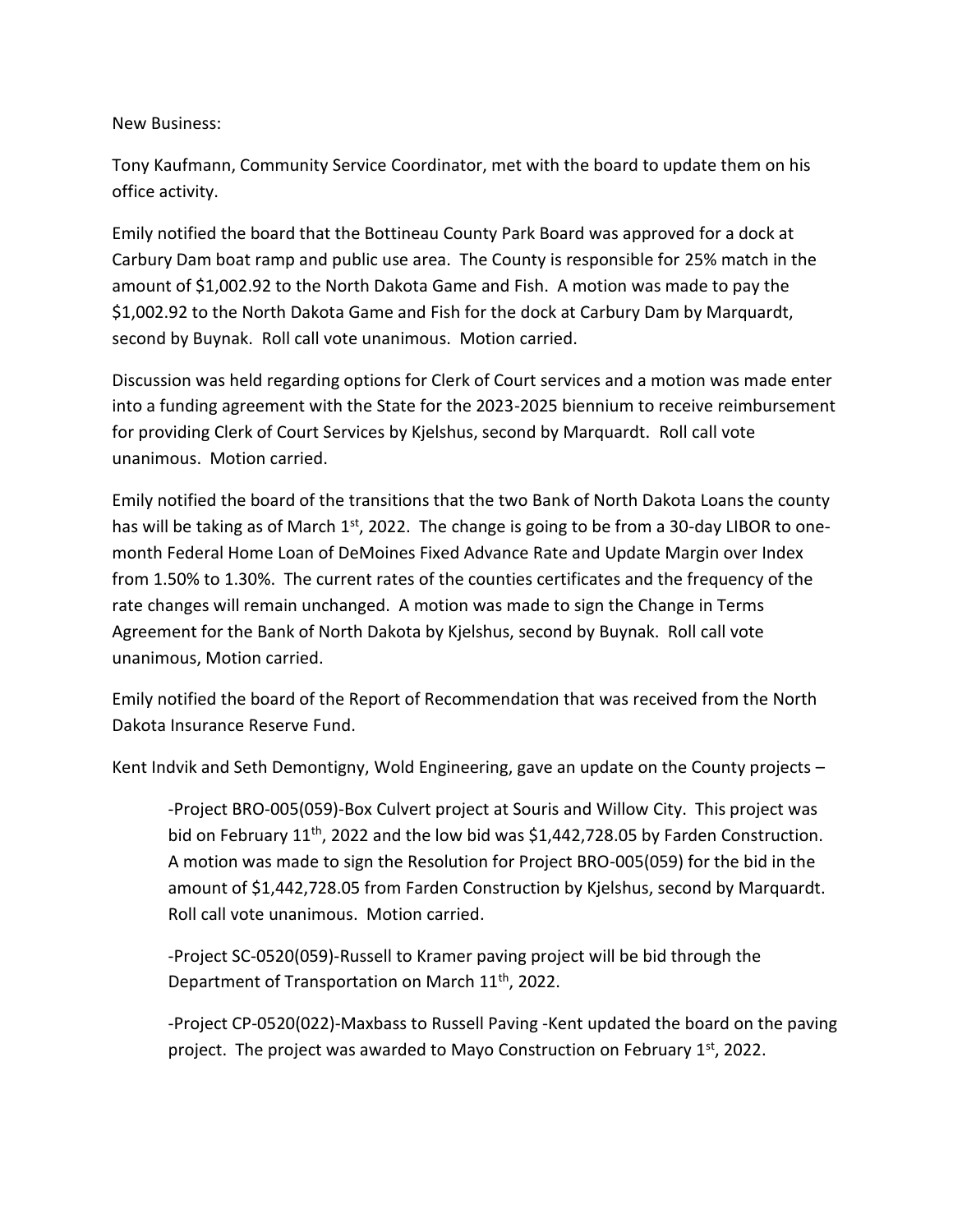New Business:

Tony Kaufmann, Community Service Coordinator, met with the board to update them on his office activity.

Emily notified the board that the Bottineau County Park Board was approved for a dock at Carbury Dam boat ramp and public use area. The County is responsible for 25% match in the amount of \$1,002.92 to the North Dakota Game and Fish. A motion was made to pay the \$1,002.92 to the North Dakota Game and Fish for the dock at Carbury Dam by Marquardt, second by Buynak. Roll call vote unanimous. Motion carried.

Discussion was held regarding options for Clerk of Court services and a motion was made enter into a funding agreement with the State for the 2023-2025 biennium to receive reimbursement for providing Clerk of Court Services by Kjelshus, second by Marquardt. Roll call vote unanimous. Motion carried.

Emily notified the board of the transitions that the two Bank of North Dakota Loans the county has will be taking as of March 1<sup>st</sup>, 2022. The change is going to be from a 30-day LIBOR to onemonth Federal Home Loan of DeMoines Fixed Advance Rate and Update Margin over Index from 1.50% to 1.30%. The current rates of the counties certificates and the frequency of the rate changes will remain unchanged. A motion was made to sign the Change in Terms Agreement for the Bank of North Dakota by Kjelshus, second by Buynak. Roll call vote unanimous, Motion carried.

Emily notified the board of the Report of Recommendation that was received from the North Dakota Insurance Reserve Fund.

Kent Indvik and Seth Demontigny, Wold Engineering, gave an update on the County projects –

-Project BRO-005(059)-Box Culvert project at Souris and Willow City. This project was bid on February  $11^{th}$ , 2022 and the low bid was \$1,442,728.05 by Farden Construction. A motion was made to sign the Resolution for Project BRO-005(059) for the bid in the amount of \$1,442,728.05 from Farden Construction by Kjelshus, second by Marquardt. Roll call vote unanimous. Motion carried.

-Project SC-0520(059)-Russell to Kramer paving project will be bid through the Department of Transportation on March 11<sup>th</sup>, 2022.

-Project CP-0520(022)-Maxbass to Russell Paving -Kent updated the board on the paving project. The project was awarded to Mayo Construction on February 1st, 2022.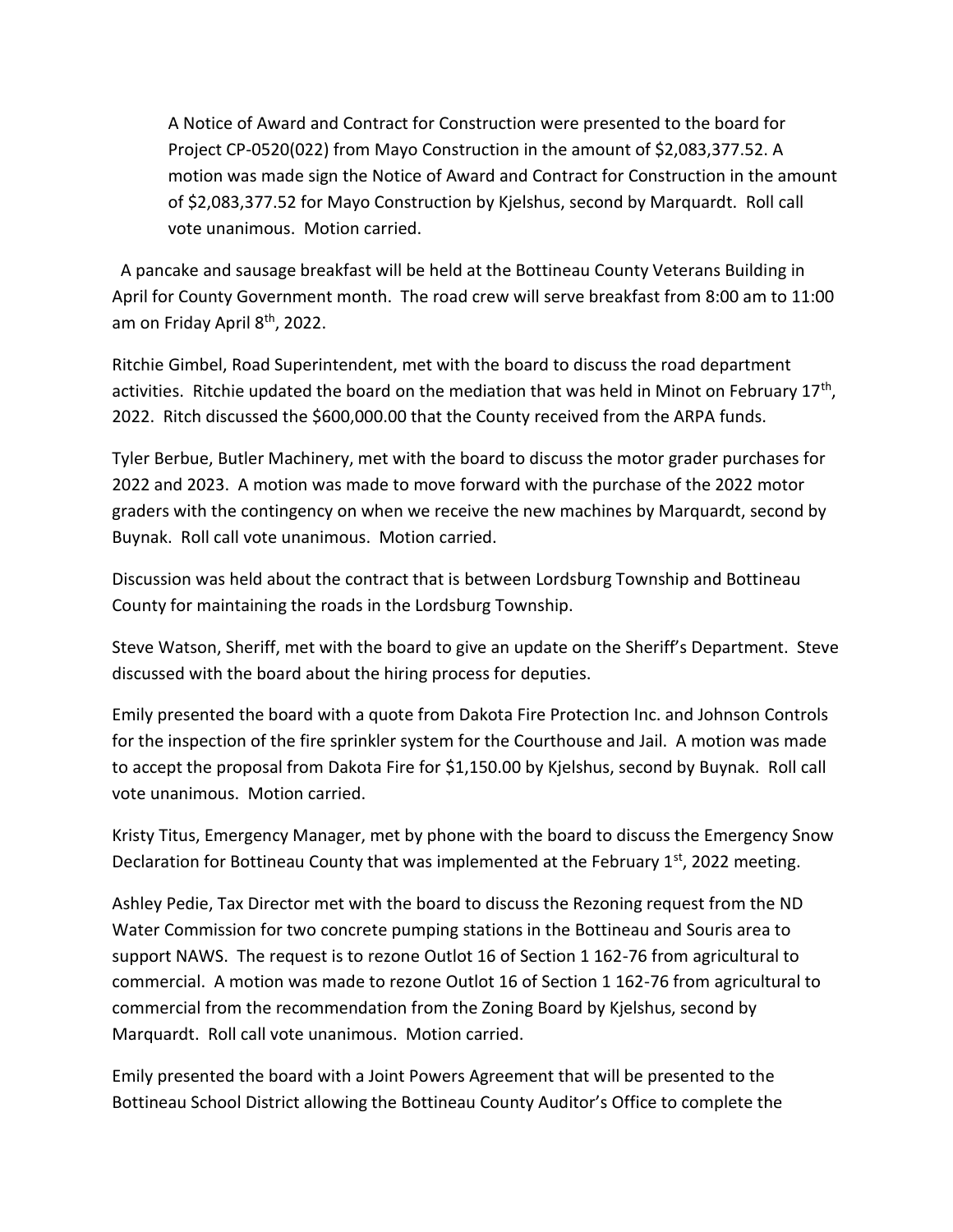A Notice of Award and Contract for Construction were presented to the board for Project CP-0520(022) from Mayo Construction in the amount of \$2,083,377.52. A motion was made sign the Notice of Award and Contract for Construction in the amount of \$2,083,377.52 for Mayo Construction by Kjelshus, second by Marquardt. Roll call vote unanimous. Motion carried.

 A pancake and sausage breakfast will be held at the Bottineau County Veterans Building in April for County Government month. The road crew will serve breakfast from 8:00 am to 11:00 am on Friday April 8th, 2022.

Ritchie Gimbel, Road Superintendent, met with the board to discuss the road department activities. Ritchie updated the board on the mediation that was held in Minot on February 17<sup>th</sup>, 2022. Ritch discussed the \$600,000.00 that the County received from the ARPA funds.

Tyler Berbue, Butler Machinery, met with the board to discuss the motor grader purchases for 2022 and 2023. A motion was made to move forward with the purchase of the 2022 motor graders with the contingency on when we receive the new machines by Marquardt, second by Buynak. Roll call vote unanimous. Motion carried.

Discussion was held about the contract that is between Lordsburg Township and Bottineau County for maintaining the roads in the Lordsburg Township.

Steve Watson, Sheriff, met with the board to give an update on the Sheriff's Department. Steve discussed with the board about the hiring process for deputies.

Emily presented the board with a quote from Dakota Fire Protection Inc. and Johnson Controls for the inspection of the fire sprinkler system for the Courthouse and Jail. A motion was made to accept the proposal from Dakota Fire for \$1,150.00 by Kjelshus, second by Buynak. Roll call vote unanimous. Motion carried.

Kristy Titus, Emergency Manager, met by phone with the board to discuss the Emergency Snow Declaration for Bottineau County that was implemented at the February 1st, 2022 meeting.

Ashley Pedie, Tax Director met with the board to discuss the Rezoning request from the ND Water Commission for two concrete pumping stations in the Bottineau and Souris area to support NAWS. The request is to rezone Outlot 16 of Section 1 162-76 from agricultural to commercial. A motion was made to rezone Outlot 16 of Section 1 162-76 from agricultural to commercial from the recommendation from the Zoning Board by Kjelshus, second by Marquardt. Roll call vote unanimous. Motion carried.

Emily presented the board with a Joint Powers Agreement that will be presented to the Bottineau School District allowing the Bottineau County Auditor's Office to complete the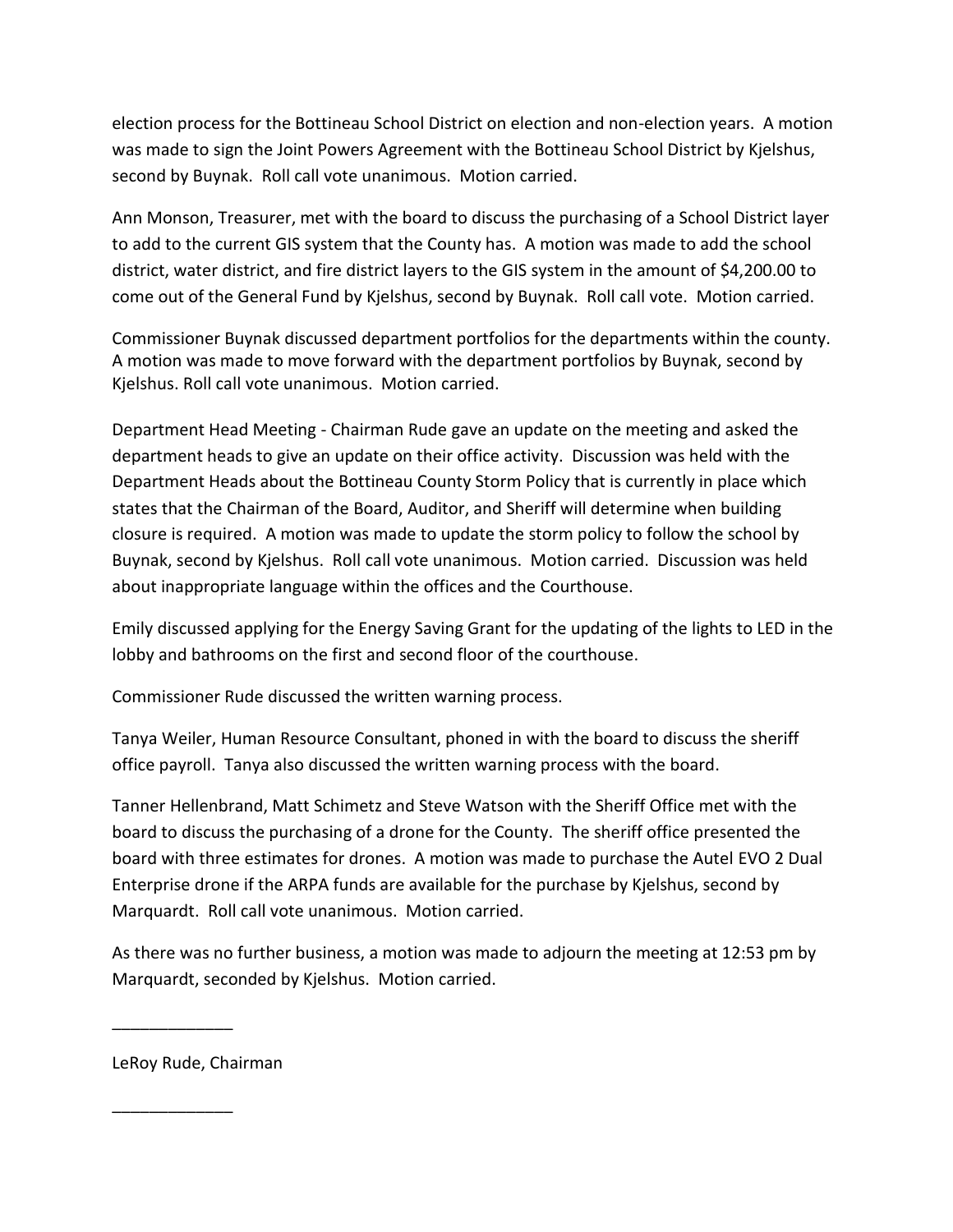election process for the Bottineau School District on election and non-election years. A motion was made to sign the Joint Powers Agreement with the Bottineau School District by Kjelshus, second by Buynak. Roll call vote unanimous. Motion carried.

Ann Monson, Treasurer, met with the board to discuss the purchasing of a School District layer to add to the current GIS system that the County has. A motion was made to add the school district, water district, and fire district layers to the GIS system in the amount of \$4,200.00 to come out of the General Fund by Kjelshus, second by Buynak. Roll call vote. Motion carried.

Commissioner Buynak discussed department portfolios for the departments within the county. A motion was made to move forward with the department portfolios by Buynak, second by Kjelshus. Roll call vote unanimous. Motion carried.

Department Head Meeting - Chairman Rude gave an update on the meeting and asked the department heads to give an update on their office activity. Discussion was held with the Department Heads about the Bottineau County Storm Policy that is currently in place which states that the Chairman of the Board, Auditor, and Sheriff will determine when building closure is required. A motion was made to update the storm policy to follow the school by Buynak, second by Kjelshus. Roll call vote unanimous. Motion carried. Discussion was held about inappropriate language within the offices and the Courthouse.

Emily discussed applying for the Energy Saving Grant for the updating of the lights to LED in the lobby and bathrooms on the first and second floor of the courthouse.

Commissioner Rude discussed the written warning process.

Tanya Weiler, Human Resource Consultant, phoned in with the board to discuss the sheriff office payroll. Tanya also discussed the written warning process with the board.

Tanner Hellenbrand, Matt Schimetz and Steve Watson with the Sheriff Office met with the board to discuss the purchasing of a drone for the County. The sheriff office presented the board with three estimates for drones. A motion was made to purchase the Autel EVO 2 Dual Enterprise drone if the ARPA funds are available for the purchase by Kjelshus, second by Marquardt. Roll call vote unanimous. Motion carried.

As there was no further business, a motion was made to adjourn the meeting at 12:53 pm by Marquardt, seconded by Kjelshus. Motion carried.

LeRoy Rude, Chairman

\_\_\_\_\_\_\_\_\_\_\_\_\_

\_\_\_\_\_\_\_\_\_\_\_\_\_